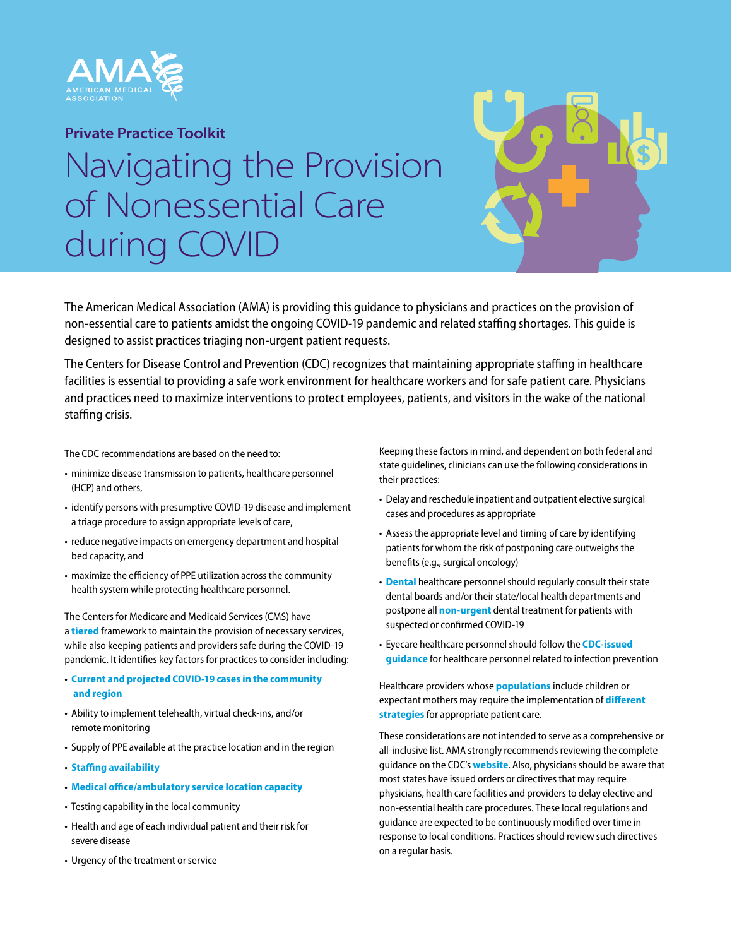

## **Private Practice Toolkit**

## Navigating the Provision of Nonessential Care during COVID

The American Medical Association (AMA) is providing this guidance to physicians and practices on the provision of non-essential care to patients amidst the ongoing COVID-19 pandemic and related staffing shortages. This guide is designed to assist practices triaging non-urgent patient requests.

The Centers for Disease Control and Prevention (CDC) recognizes that maintaining appropriate staffing in healthcare facilities is essential to providing a safe work environment for healthcare workers and for safe patient care. Physicians and practices need to maximize interventions to protect employees, patients, and visitors in the wake of the national staffing crisis.

The CDC recommendations are based on the need to:

- minimize disease transmission to patients, healthcare personnel (HCP) and others,
- identify persons with presumptive COVID-19 disease and implement a triage procedure to assign appropriate levels of care,
- reduce negative impacts on emergency department and hospital bed capacity, and
- maximize the efficiency of PPE utilization across the community health system while protecting healthcare personnel.

The Centers for Medicare and Medicaid Services (CMS) have a **tiered** framework to maintain the provision of necessary services, while also keeping patients and providers safe during the COVID-19 pandemic. It identifies key factors for practices to consider including:

- **Current and projected COVID-19 cases in the community and region**
- Ability to implement telehealth, virtual check-ins, and/or remote monitoring
- Supply of PPE available at the practice location and in the region
- **Staffing availability**
- **Medical office/ambulatory service location capacity**
- Testing capability in the local community
- Health and age of each individual patient and their risk for severe disease
- Urgency of the treatment or service

Keeping these factors in mind, and dependent on both federal and state guidelines, clinicians can use the following considerations in their practices:

- Delay and reschedule inpatient and outpatient elective surgical cases and procedures as appropriate
- Assess the appropriate level and timing of care by identifying patients for whom the risk of postponing care outweighs the benefits (e.g., surgical oncology)
- **Dental** healthcare personnel should regularly consult their state dental boards and/or their state/local health departments and postpone all **non-urgent** dental treatment for patients with suspected or confirmed COVID-19
- Eyecare healthcare personnel should follow the **CDC-issued guidance** for healthcare personnel related to infection prevention

Healthcare providers whose **populations** include children or expectant mothers may require the implementation of **different strategies** for appropriate patient care.

These considerations are not intended to serve as a comprehensive or all-inclusive list. AMA strongly recommends reviewing the complete guidance on the CDC's **website**. Also, physicians should be aware that most states have issued orders or directives that may require physicians, health care facilities and providers to delay elective and non-essential health care procedures. These local regulations and guidance are expected to be continuously modified over time in response to local conditions. Practices should review such directives on a regular basis.